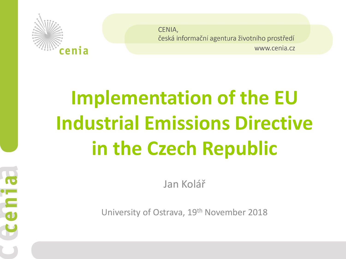

Ē

 $\overline{\mathbf{d}}$ 

CENIA, česká informační agentura životního prostředí www.cenia.cz

# **Implementation of the EU Industrial Emissions Directive in the Czech Republic**

Jan Kolář

University of Ostrava, 19th November 2018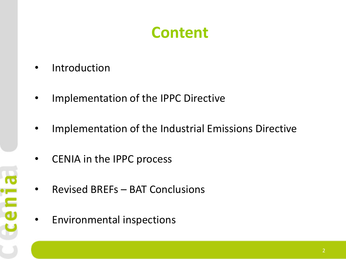#### **Content**

**Introduction** 

**Ceni** 

- Implementation of the IPPC Directive
- Implementation of the Industrial Emissions Directive
- CENIA in the IPPC process
- Revised BREFs BAT Conclusions
- Environmental inspections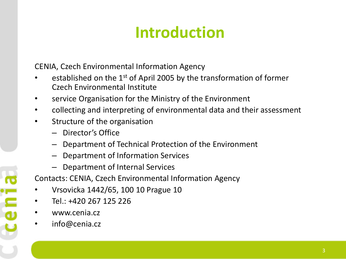### **Introduction**

CENIA, Czech Environmental Information Agency

- established on the  $1<sup>st</sup>$  of April 2005 by the transformation of former Czech Environmental Institute
- service Organisation for the Ministry of the Environment
- collecting and interpreting of environmental data and their assessment
- Structure of the organisation
	- Director's Office
	- Department of Technical Protection of the Environment
	- Department of Information Services
	- Department of Internal Services

Contacts: CENIA, Czech Environmental Information Agency

- Vrsovicka 1442/65, 100 10 Prague 10
- Tel.: +420 267 125 226
- www.cenia.cz

cenia

• info@cenia.cz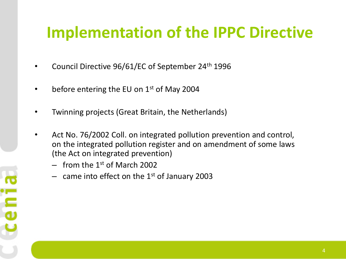- Council Directive 96/61/EC of September 24th 1996
- before entering the EU on  $1<sup>st</sup>$  of May 2004
- Twinning projects (Great Britain, the Netherlands)
- Act No. 76/2002 Coll. on integrated pollution prevention and control, on the integrated pollution register and on amendment of some laws (the Act on integrated prevention)
	- $-$  from the 1<sup>st</sup> of March 2002
	- came into effect on the  $1<sup>st</sup>$  of January 2003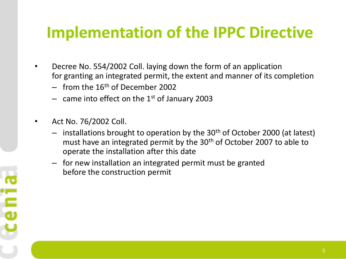- Decree No. 554/2002 Coll. laying down the form of an application for granting an integrated permit, the extent and manner of its completion
	- $-$  from the 16<sup>th</sup> of December 2002
	- came into effect on the  $1<sup>st</sup>$  of January 2003
- Act No. 76/2002 Coll.
	- $-$  installations brought to operation by the 30<sup>th</sup> of October 2000 (at latest) must have an integrated permit by the 30<sup>th</sup> of October 2007 to able to operate the installation after this date
	- for new installation an integrated permit must be granted before the construction permit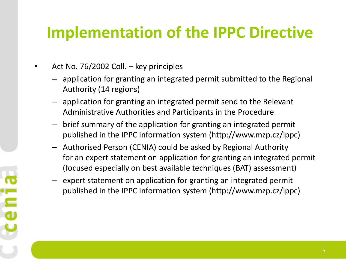- Act No. 76/2002 Coll. key principles
	- application for granting an integrated permit submitted to the Regional Authority (14 regions)
	- application for granting an integrated permit send to the Relevant Administrative Authorities and Participants in the Procedure
	- brief summary of the application for granting an integrated permit published in the IPPC information system (http://www.mzp.cz/ippc)
	- Authorised Person (CENIA) could be asked by Regional Authority for an expert statement on application for granting an integrated permit (focused especially on best available techniques (BAT) assessment)
	- expert statement on application for granting an integrated permit published in the IPPC information system (http://www.mzp.cz/ippc)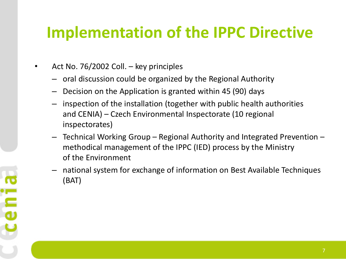- Act No. 76/2002 Coll. key principles
	- oral discussion could be organized by the Regional Authority
	- Decision on the Application is granted within 45 (90) days
	- inspection of the installation (together with public health authorities and CENIA) – Czech Environmental Inspectorate (10 regional inspectorates)
	- Technical Working Group Regional Authority and Integrated Prevention methodical management of the IPPC (IED) process by the Ministry of the Environment
	- national system for exchange of information on Best Available Techniques (BAT)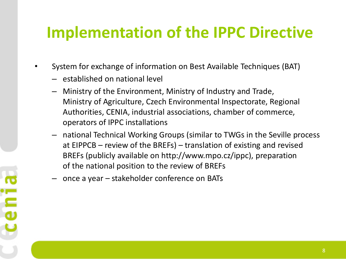- System for exchange of information on Best Available Techniques (BAT)
	- established on national level
	- Ministry of the Environment, Ministry of Industry and Trade, Ministry of Agriculture, Czech Environmental Inspectorate, Regional Authorities, CENIA, industrial associations, chamber of commerce, operators of IPPC installations
	- national Technical Working Groups (similar to TWGs in the Seville process at EIPPCB – review of the BREFs) – translation of existing and revised BREFs (publicly available on http://www.mpo.cz/ippc), preparation of the national position to the review of BREFs
	- once a year stakeholder conference on BATs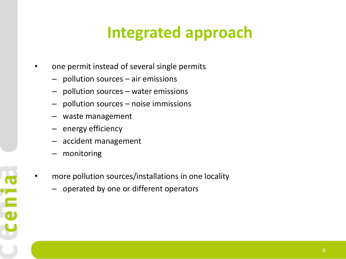### **Integrated approach**

- one permit instead of several single permits
	- pollution sources air emissions
	- pollution sources water emissions
	- pollution sources noise immissions
	- waste management
	- energy efficiency
	- accident management
	- monitoring

**Ceni** 

- more pollution sources/installations in one locality
	- operated by one or different operators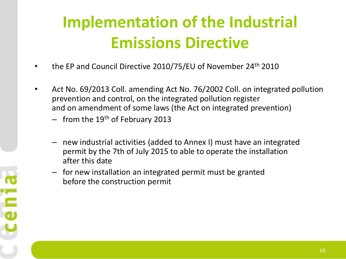### **Implementation of the Industrial Emissions Directive**

- the EP and Council Directive 2010/75/EU of November 24<sup>th</sup> 2010
- Act No. 69/2013 Coll. amending Act No. 76/2002 Coll. on integrated pollution prevention and control, on the integrated pollution register and on amendment of some laws (the Act on integrated prevention)
	- $-$  from the 19<sup>th</sup> of February 2013

cenia

- new industrial activities (added to Annex I) must have an integrated permit by the 7th of July 2015 to able to operate the installation after this date
- for new installation an integrated permit must be granted before the construction permit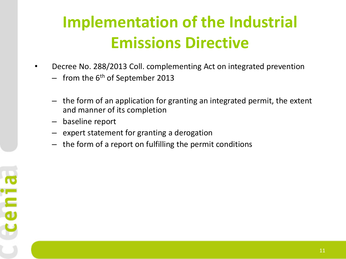### **Implementation of the Industrial Emissions Directive**

- Decree No. 288/2013 Coll. complementing Act on integrated prevention
	- $-$  from the 6<sup>th</sup> of September 2013
	- the form of an application for granting an integrated permit, the extent and manner of its completion
	- baseline report
	- expert statement for granting a derogation
	- the form of a report on fulfilling the permit conditions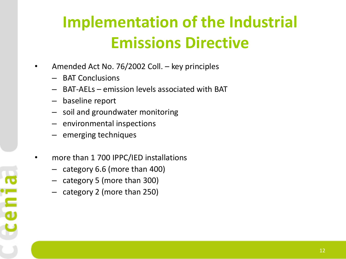### **Implementation of the Industrial Emissions Directive**

- Amended Act No. 76/2002 Coll. key principles
	- BAT Conclusions
	- BAT-AELs emission levels associated with BAT
	- baseline report

**Cen** 

- soil and groundwater monitoring
- environmental inspections
- emerging techniques
- more than 1 700 IPPC/IED installations
	- category 6.6 (more than 400)
	- category 5 (more than 300)
	- category 2 (more than 250)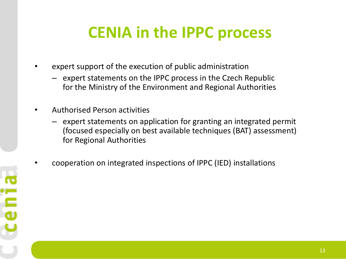### **CENIA in the IPPC process**

- expert support of the execution of public administration
	- expert statements on the IPPC process in the Czech Republic for the Ministry of the Environment and Regional Authorities
- Authorised Person activities

**ceni** 

- expert statements on application for granting an integrated permit (focused especially on best available techniques (BAT) assessment) for Regional Authorities
- cooperation on integrated inspections of IPPC (IED) installations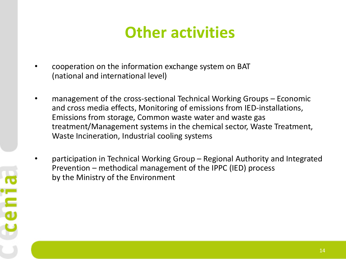#### **Other activities**

- cooperation on the information exchange system on BAT (national and international level)
- management of the cross-sectional Technical Working Groups Economic and cross media effects, Monitoring of emissions from IED-installations, Emissions from storage, Common waste water and waste gas treatment/Management systems in the chemical sector, Waste Treatment, Waste Incineration, Industrial cooling systems
- participation in Technical Working Group Regional Authority and Integrated Prevention – methodical management of the IPPC (IED) process by the Ministry of the Environment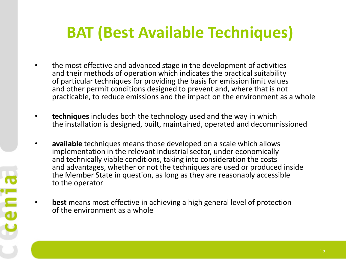### **BAT (Best Available Techniques)**

- the most effective and advanced stage in the development of activities and their methods of operation which indicates the practical suitability of particular techniques for providing the basis for emission limit values and other permit conditions designed to prevent and, where that is not practicable, to reduce emissions and the impact on the environment as a whole
- **techniques** includes both the technology used and the way in which the installation is designed, built, maintained, operated and decommissioned
- **available** techniques means those developed on a scale which allows implementation in the relevant industrial sector, under economically and technically viable conditions, taking into consideration the costs and advantages, whether or not the techniques are used or produced inside the Member State in question, as long as they are reasonably accessible to the operator
- **best** means most effective in achieving a high general level of protection of the environment as a whole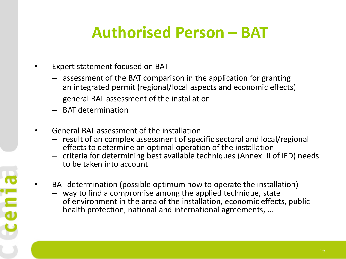### **Authorised Person – BAT**

- Expert statement focused on BAT
	- assessment of the BAT comparison in the application for granting an integrated permit (regional/local aspects and economic effects)
	- general BAT assessment of the installation
	- BAT determination
- General BAT assessment of the installation
	- result of an complex assessment of specific sectoral and local/regional effects to determine an optimal operation of the installation
	- criteria for determining best available techniques (Annex III of IED) needs to be taken into account
- BAT determination (possible optimum how to operate the installation)
	- way to find a compromise among the applied technique, state of environment in the area of the installation, economic effects, public health protection, national and international agreements, …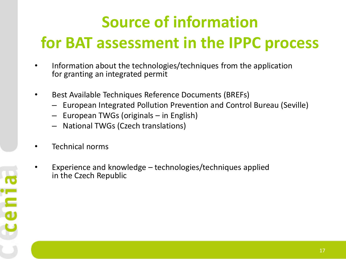## **Source of information for BAT assessment in the IPPC process**

- Information about the technologies/techniques from the application for granting an integrated permit
- Best Available Techniques Reference Documents (BREFs)
	- European Integrated Pollution Prevention and Control Bureau (Seville)
	- European TWGs (originals in English)
	- National TWGs (Czech translations)
- Technical norms
- Experience and knowledge technologies/techniques applied in the Czech Republic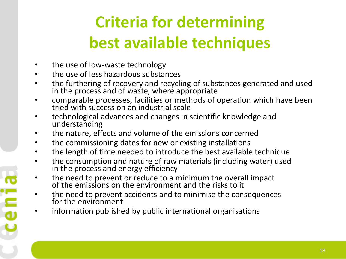### **Criteria for determining best available techniques**

• the use of low-waste technology

cenia

- the use of less hazardous substances
- the furthering of recovery and recycling of substances generated and used in the process and of waste, where appropriate
- comparable processes, facilities or methods of operation which have been tried with success on an industrial scale
- technological advances and changes in scientific knowledge and understanding
- the nature, effects and volume of the emissions concerned
- the commissioning dates for new or existing installations
- the length of time needed to introduce the best available technique
- the consumption and nature of raw materials (including water) used in the process and energy efficiency
- the need to prevent or reduce to a minimum the overall impact of the emissions on the environment and the risks to it
- the need to prevent accidents and to minimise the consequences for the environment
- information published by public international organisations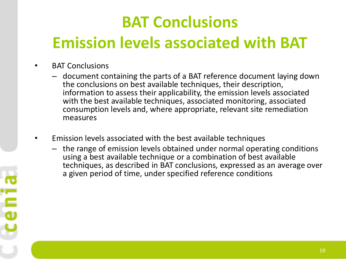### **BAT Conclusions Emission levels associated with BAT**

- BAT Conclusions
	- document containing the parts of a BAT reference document laying down the conclusions on best available techniques, their description, information to assess their applicability, the emission levels associated with the best available techniques, associated monitoring, associated consumption levels and, where appropriate, relevant site remediation measures
- Emission levels associated with the best available techniques
	- the range of emission levels obtained under normal operating conditions using a best available technique or a combination of best available techniques, as described in BAT conclusions, expressed as an average over a given period of time, under specified reference conditions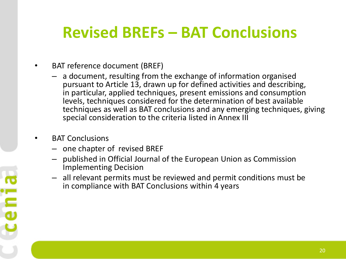#### **Revised BREFs – BAT Conclusions**

- BAT reference document (BREF)
	- a document, resulting from the exchange of information organised pursuant to Article 13, drawn up for defined activities and describing, in particular, applied techniques, present emissions and consumption levels, techniques considered for the determination of best available techniques as well as BAT conclusions and any emerging techniques, giving special consideration to the criteria listed in Annex III
- BAT Conclusions

cenia

- one chapter of revised BREF
- published in Official Journal of the European Union as Commission Implementing Decision
- all relevant permits must be reviewed and permit conditions must be in compliance with BAT Conclusions within 4 years

20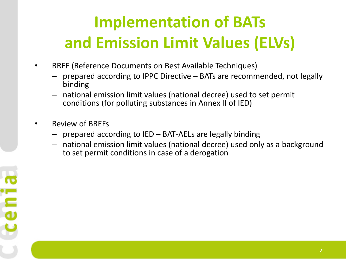### **Implementation of BATs and Emission Limit Values (ELVs)**

- BREF (Reference Documents on Best Available Techniques)
	- prepared according to IPPC Directive BATs are recommended, not legally binding
	- national emission limit values (national decree) used to set permit conditions (for polluting substances in Annex II of IED)
- Review of BREFs
	- prepared according to IED BAT-AELs are legally binding
	- national emission limit values (national decree) used only as a background to set permit conditions in case of a derogation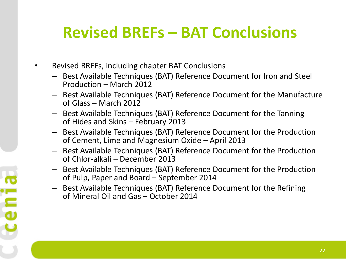#### **Revised BREFs – BAT Conclusions**

• Revised BREFs, including chapter BAT Conclusions

cenia

- Best Available Techniques (BAT) Reference Document for Iron and Steel Production – March 2012
- Best Available Techniques (BAT) Reference Document for the Manufacture of Glass – March 2012
- Best Available Techniques (BAT) Reference Document for the Tanning of Hides and Skins – February 2013
- Best Available Techniques (BAT) Reference Document for the Production of Cement, Lime and Magnesium Oxide – April 2013
- Best Available Techniques (BAT) Reference Document for the Production of Chlor-alkali – December 2013
- Best Available Techniques (BAT) Reference Document for the Production of Pulp, Paper and Board – September 2014
- Best Available Techniques (BAT) Reference Document for the Refining of Mineral Oil and Gas – October 2014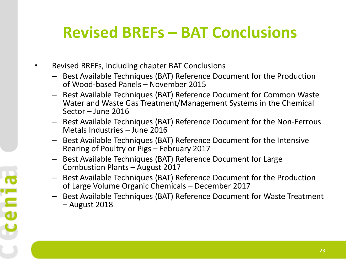#### **Revised BREFs – BAT Conclusions**

- Revised BREFs, including chapter BAT Conclusions
	- Best Available Techniques (BAT) Reference Document for the Production of Wood-based Panels – November 2015
	- Best Available Techniques (BAT) Reference Document for Common Waste Water and Waste Gas Treatment/Management Systems in the Chemical Sector – June 2016
	- Best Available Techniques (BAT) Reference Document for the Non-Ferrous Metals Industries – June 2016
	- Best Available Techniques (BAT) Reference Document for the Intensive Rearing of Poultry or Pigs – February 2017
	- Best Available Techniques (BAT) Reference Document for Large Combustion Plants – August 2017
	- Best Available Techniques (BAT) Reference Document for the Production of Large Volume Organic Chemicals – December 2017
	- Best Available Techniques (BAT) Reference Document for Waste Treatment – August 2018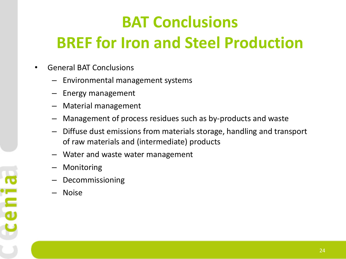### **BAT Conclusions BREF for Iron and Steel Production**

- General BAT Conclusions
	- Environmental management systems
	- Energy management
	- Material management
	- Management of process residues such as by-products and waste
	- Diffuse dust emissions from materials storage, handling and transport of raw materials and (intermediate) products
	- Water and waste water management
	- **Monitoring**
	- Decommissioning
	- Noise

ceni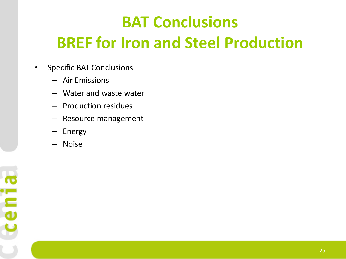### **BAT Conclusions BREF for Iron and Steel Production**

- Specific BAT Conclusions
	- Air Emissions
	- Water and waste water
	- Production residues
	- Resource management
	- Energy
	- Noise

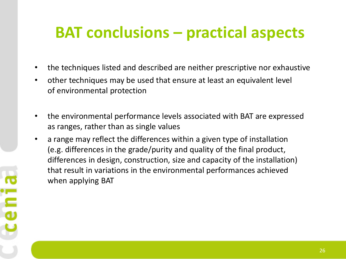#### **BAT conclusions – practical aspects**

- the techniques listed and described are neither prescriptive nor exhaustive
- other techniques may be used that ensure at least an equivalent level of environmental protection
- the environmental performance levels associated with BAT are expressed as ranges, rather than as single values
- a range may reflect the differences within a given type of installation (e.g. differences in the grade/purity and quality of the final product, differences in design, construction, size and capacity of the installation) that result in variations in the environmental performances achieved when applying BAT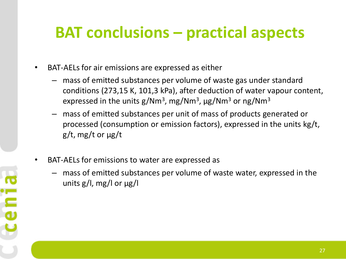#### **BAT conclusions – practical aspects**

- BAT-AELs for air emissions are expressed as either
	- mass of emitted substances per volume of waste gas under standard conditions (273,15 K, 101,3 kPa), after deduction of water vapour content, expressed in the units g/Nm<sup>3</sup>, mg/Nm<sup>3</sup>,  $\mu$ g/Nm<sup>3</sup> or ng/Nm<sup>3</sup>
	- mass of emitted substances per unit of mass of products generated or processed (consumption or emission factors), expressed in the units kg/t, g/t, mg/t or μg/t
- BAT-AELs for emissions to water are expressed as
	- mass of emitted substances per volume of waste water, expressed in the units g/l, mg/l or μg/l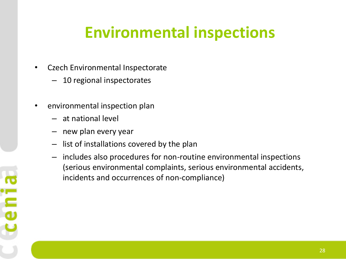- Czech Environmental Inspectorate
	- 10 regional inspectorates
- environmental inspection plan
	- at national level
	- new plan every year
	- list of installations covered by the plan
	- includes also procedures for non-routine environmental inspections (serious environmental complaints, serious environmental accidents, incidents and occurrences of non-compliance)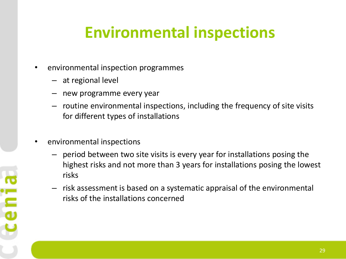- environmental inspection programmes
	- at regional level
	- new programme every year
	- routine environmental inspections, including the frequency of site visits for different types of installations
- environmental inspections
	- period between two site visits is every year for installations posing the highest risks and not more than 3 years for installations posing the lowest risks
	- risk assessment is based on a systematic appraisal of the environmental risks of the installations concerned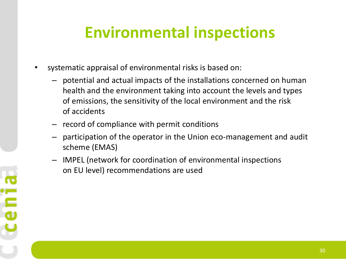- systematic appraisal of environmental risks is based on:
	- potential and actual impacts of the installations concerned on human health and the environment taking into account the levels and types of emissions, the sensitivity of the local environment and the risk of accidents
	- record of compliance with permit conditions
	- participation of the operator in the Union eco-management and audit scheme (EMAS)
	- IMPEL (network for coordination of environmental inspections on EU level) recommendations are used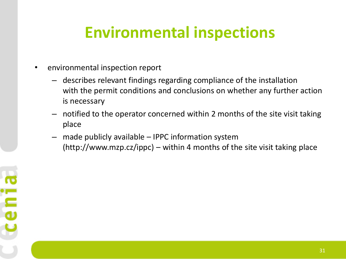- environmental inspection report
	- describes relevant findings regarding compliance of the installation with the permit conditions and conclusions on whether any further action is necessary
	- notified to the operator concerned within 2 months of the site visit taking place
	- made publicly available  $-$  IPPC information system (http://www.mzp.cz/ippc) – within 4 months of the site visit taking place